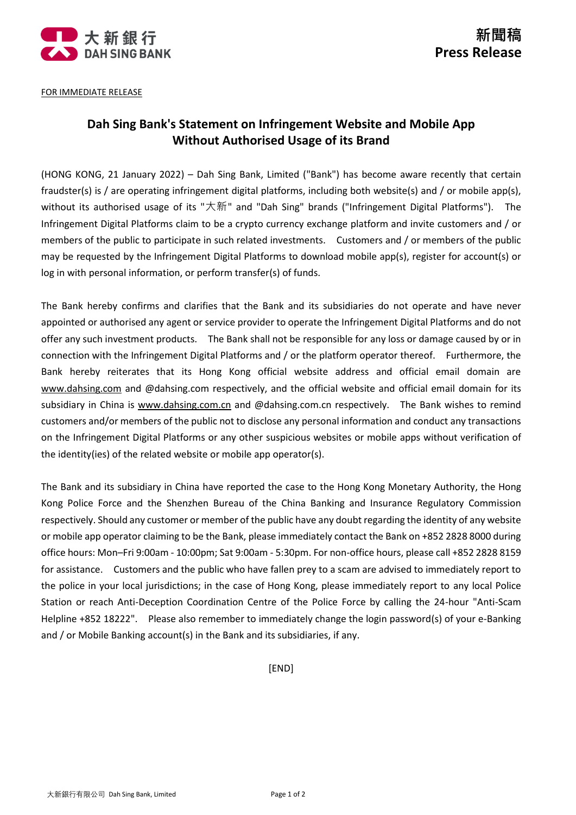

FOR IMMEDIATE RELEASE

## **Dah Sing Bank's Statement on Infringement Website and Mobile App Without Authorised Usage of its Brand**

(HONG KONG, 21 January 2022) – Dah Sing Bank, Limited ("Bank") has become aware recently that certain fraudster(s) is / are operating infringement digital platforms, including both website(s) and / or mobile app(s), without its authorised usage of its "大新" and "Dah Sing" brands ("Infringement Digital Platforms"). The Infringement Digital Platforms claim to be a crypto currency exchange platform and invite customers and / or members of the public to participate in such related investments. Customers and / or members of the public may be requested by the Infringement Digital Platforms to download mobile app(s), register for account(s) or log in with personal information, or perform transfer(s) of funds.

The Bank hereby confirms and clarifies that the Bank and its subsidiaries do not operate and have never appointed or authorised any agent or service provider to operate the Infringement Digital Platforms and do not offer any such investment products. The Bank shall not be responsible for any loss or damage caused by or in connection with the Infringement Digital Platforms and / or the platform operator thereof. Furthermore, the Bank hereby reiterates that its Hong Kong official website address and official email domain are [www.dahsing.com](http://www.dahsing.com/) and @dahsing.com respectively, and the official website and official email domain for its subsidiary in China is [www.dahsing.com.cn](http://www.dahsing.com.cn/) and @dahsing.com.cn respectively. The Bank wishes to remind customers and/or members of the public not to disclose any personal information and conduct any transactions on the Infringement Digital Platforms or any other suspicious websites or mobile apps without verification of the identity(ies) of the related website or mobile app operator(s).

The Bank and its subsidiary in China have reported the case to the Hong Kong Monetary Authority, the Hong Kong Police Force and the Shenzhen Bureau of the China Banking and Insurance Regulatory Commission respectively. Should any customer or member of the public have any doubt regarding the identity of any website or mobile app operator claiming to be the Bank, please immediately contact the Bank on +852 2828 8000 during office hours: Mon–Fri 9:00am - 10:00pm; Sat 9:00am - 5:30pm. For non-office hours, please call +852 2828 8159 for assistance. Customers and the public who have fallen prey to a scam are advised to immediately report to the police in your local jurisdictions; in the case of Hong Kong, please immediately report to any local Police Station or reach Anti-Deception Coordination Centre of the Police Force by calling the 24-hour "Anti-Scam Helpline +852 18222". Please also remember to immediately change the login password(s) of your e-Banking and / or Mobile Banking account(s) in the Bank and its subsidiaries, if any.

[END]